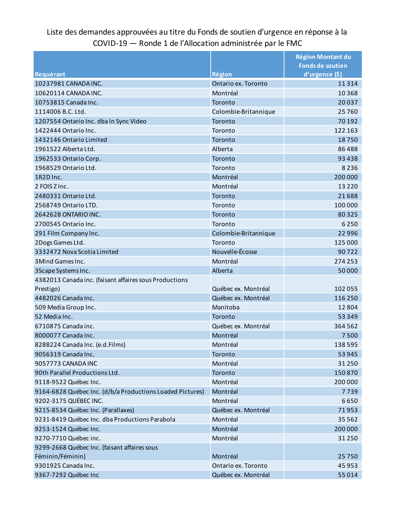## Liste des demandes approuvées au titre du Fonds de soutien d'urgence en réponse à la COVID-19 — Ronde 1 de l'Allocation administrée par le FMC

|                                                           |                      | <b>Région Montant du</b> |
|-----------------------------------------------------------|----------------------|--------------------------|
|                                                           |                      | <b>Fonds de soutien</b>  |
| Requérant                                                 | <b>Région</b>        | d'urgence (\$)           |
| 10237981 CANADA INC.                                      | Ontario ex. Toronto  | 11314                    |
| 10620114 CANADA INC.                                      | Montréal             | 10368                    |
| 10753815 Canada Inc.                                      | Toronto              | 20037                    |
| 1114006 B.C. Ltd.                                         | Colombie-Britannique | 25760                    |
| 1207554 Ontario Inc. dba In Sync Video                    | Toronto              | 70 192                   |
| 1422444 Ontario Inc.                                      | Toronto              | 122 163                  |
| 1432146 Ontario Limited                                   | Toronto              | 18750                    |
| 1961522 Alberta Ltd.                                      | Alberta              | 86488                    |
| 1962533 Ontario Corp.                                     | Toronto              | 93 4 38                  |
| 1968529 Ontario Ltd.                                      | Toronto              | 8 2 3 6                  |
| 1R2D Inc.                                                 | Montréal             | 200 000                  |
| 2 FOIS Z Inc.                                             | Montréal             | 13 2 2 0                 |
| 2480331 Ontario Ltd.                                      | Toronto              | 21688                    |
| 2568749 Ontario LTD.                                      | Toronto              | 100 000                  |
| 2642628 ONTARIO INC.                                      | Toronto              | 80325                    |
| 2700545 Ontario Inc.                                      | Toronto              | 6 2 5 0                  |
| 291 Film Company Inc.                                     | Colombie-Britannique | 22 9 9 6                 |
| 2Dogs Games Ltd.                                          | Toronto              | 125 000                  |
| 3332472 Nova Scotia Limited                               | Nouvelle-Écosse      | 90722                    |
| 3 Mind Games Inc.                                         | Montréal             | 274 253                  |
| 3 Scape Systems Inc.                                      | Alberta              | 50000                    |
| 4382013 Canada inc. (faisant affaires sous Productions    |                      |                          |
| Prestigo)                                                 | Québec ex. Montréal  | 102 055                  |
| 4482026 Canada Inc.                                       | Québec ex. Montréal  | 116 250                  |
| 509 Media Group Inc.                                      | Manitoba             | 12804                    |
| 52 Media Inc.                                             | Toronto              | 53 349                   |
| 6710875 Canada inc.                                       | Québec ex. Montréal  | 364 562                  |
| 8000077 Canada Inc.                                       | Montréal             | 7500                     |
| 8288224 Canada Inc. (e.d.Films)                           | Montréal             | 138 595                  |
| 9056319 Canada Inc.                                       | Toronto              | 53 945                   |
| 9057773 CANADA INC                                        | Montréal             | 31 2 50                  |
| 90th Parallel Productions Ltd.                            | Toronto              | 150870                   |
| 9118-9522 Québec Inc.                                     | Montréal             | 200 000                  |
| 9164-6828 Québec Inc. (d/b/a Productions Loaded Pictures) | Montréal             | 7739                     |
| 9202-3175 QUÉBEC INC.                                     | Montréal             | 6650                     |
| 9215-8534 Québec Inc. (Parallaxes)                        | Québec ex. Montréal  | 71953                    |
| 9231-8419 Québec Inc. dba Productions Parabola            | Montréal             | 35 5 62                  |
| 9253-1524 Québec Inc.                                     | Montréal             | 200 000                  |
| 9270-7710 Québec inc.                                     | Montréal             | 31 2 50                  |
| 9299-2668 Québec Inc. (faisant affaires sous              |                      |                          |
| Féminin/Féminin)                                          | Montréal             | 25750                    |
| 9301925 Canada Inc.                                       | Ontario ex. Toronto  | 45 953                   |
| 9367-7292 Québec Inc                                      | Québec ex. Montréal  | 55 014                   |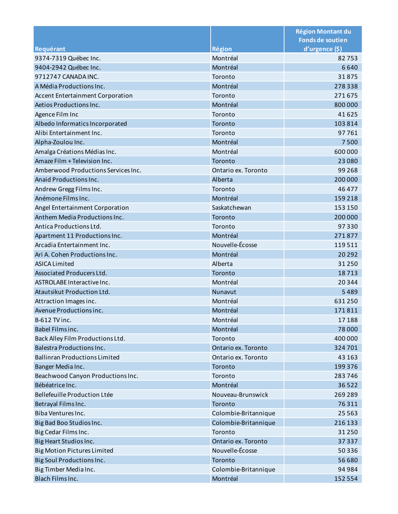|                                         |                      | <b>Région Montant du</b> |
|-----------------------------------------|----------------------|--------------------------|
|                                         |                      | <b>Fonds de soutien</b>  |
| Requérant                               | <b>Région</b>        | d'urgence (\$)           |
| 9374-7319 Québec Inc.                   | Montréal             | 82753                    |
| 9404-2942 Québec Inc.                   | Montréal             | 6640                     |
| 9712747 CANADA INC.                     | Toronto              | 31875                    |
| A Média Productions Inc.                | Montréal             | 278338                   |
| <b>Accent Entertainment Corporation</b> | Toronto              | 271675                   |
| Aetios Productions Inc.                 | Montréal             | 800 000                  |
| Agence Film Inc                         | Toronto              | 41625                    |
| Albedo Informatics Incorporated         | Toronto              | 103814                   |
| Alibi Entertainment Inc.                | Toronto              | 97761                    |
| Alpha-Zoulou Inc.                       | Montréal             | 7500                     |
| Amalga Créations Médias Inc.            | Montréal             | 600 000                  |
| Amaze Film + Television Inc.            | Toronto              | 23 0 8 0                 |
| Amberwood Productions Services Inc.     | Ontario ex. Toronto  | 99 2 68                  |
| Anaid Productions Inc.                  | Alberta              | 200 000                  |
| Andrew Gregg Films Inc.                 | Toronto              | 46 477                   |
| Anémone Films Inc.                      | Montréal             | 159 218                  |
| Angel Entertainment Corporation         | Saskatchewan         | 153 150                  |
| Anthem Media Productions Inc.           | Toronto              | 200 000                  |
| Antica Productions Ltd.                 | Toronto              | 97330                    |
| Apartment 11 Productions Inc.           | Montréal             | 271877                   |
| Arcadia Entertainment Inc.              | Nouvelle-Écosse      | 119511                   |
| Ari A. Cohen Productions Inc.           | Montréal             | 20 29 2                  |
| <b>ASICA Limited</b>                    | Alberta              | 31 2 50                  |
| Associated Producers Ltd.               | Toronto              | 18713                    |
| ASTROLABE Interactive Inc.              | Montréal             | 20344                    |
| Atautsikut Production Ltd.              | Nunavut              | 5489                     |
| Attraction Images inc.                  | Montréal             | 631250                   |
| Avenue Productions inc.                 | Montréal             | 171811                   |
| <b>B-612 TV inc.</b>                    | Montréal             | 17188                    |
| Babel Films inc.                        | Montréal             | 78 000                   |
| Back Alley Film Productions Ltd.        | Toronto              | 400 000                  |
| <b>Balestra Productions Inc.</b>        | Ontario ex. Toronto  | 324 701                  |
| <b>Ballinran Productions Limited</b>    | Ontario ex. Toronto  | 43 163                   |
| Banger Media Inc.                       | Toronto              | 199 376                  |
| Beachwood Canyon Productions Inc.       | Toronto              | 283746                   |
| Bébéatrice Inc.                         | Montréal             | 36522                    |
| Bellefeuille Production Ltée            | Nouveau-Brunswick    | 269 289                  |
| Betrayal Films Inc.                     | Toronto              | 76311                    |
| Biba Ventures Inc.                      | Colombie-Britannique | 25 5 63                  |
| Big Bad Boo Studios Inc.                | Colombie-Britannique | 216 133                  |
| Big Cedar Films Inc.                    | Toronto              | 31 2 50                  |
| Big Heart Studios Inc.                  | Ontario ex. Toronto  | 37 337                   |
| <b>Big Motion Pictures Limited</b>      | Nouvelle-Écosse      | 50336                    |
| Big Soul Productions Inc.               | Toronto              | 56 680                   |
| Big Timber Media Inc.                   | Colombie-Britannique | 94 984                   |
| Blach Films Inc.                        | Montréal             | 152 554                  |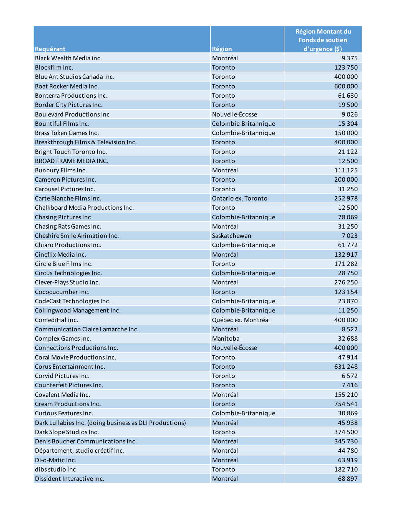|                                                         |                      | <b>Région Montant du</b><br><b>Fonds de soutien</b> |
|---------------------------------------------------------|----------------------|-----------------------------------------------------|
| Requérant                                               | <b>Région</b>        | d'urgence (\$)                                      |
| Black Wealth Media inc.                                 | Montréal             | 9375                                                |
| Blockfilm Inc.                                          | Toronto              | 123750                                              |
| Blue Ant Studios Canada Inc.                            | Toronto              | 400 000                                             |
| Boat Rocker Media Inc.                                  | Toronto              | 600 000                                             |
| Bonterra Productions Inc.                               | Toronto              | 61630                                               |
| Border City Pictures Inc.                               | Toronto              | 19500                                               |
| <b>Boulevard Productions Inc</b>                        | Nouvelle-Écosse      | 9026                                                |
| Bountiful Films Inc.                                    | Colombie-Britannique | 15 3 04                                             |
| Brass Token Games Inc.                                  | Colombie-Britannique | 150000                                              |
| Breakthrough Films & Television Inc.                    | Toronto              | 400 000                                             |
| Bright Touch Toronto Inc.                               | Toronto              | 21 1 22                                             |
| <b>BROAD FRAME MEDIA INC.</b>                           | Toronto              | 12500                                               |
| Bunbury Films Inc.                                      | Montréal             | 111 125                                             |
| Cameron Pictures Inc.                                   | Toronto              | 200 000                                             |
| Carousel Pictures Inc.                                  | Toronto              | 31 2 50                                             |
| Carte Blanche Films Inc.                                | Ontario ex. Toronto  | 252978                                              |
| Chalkboard Media Productions Inc.                       | Toronto              | 12500                                               |
| Chasing Pictures Inc.                                   | Colombie-Britannique | 78069                                               |
| Chasing Rats Games Inc.                                 | Montréal             | 31250                                               |
| Cheshire Smile Animation Inc.                           | Saskatchewan         | 7023                                                |
| Chiaro Productions Inc.                                 | Colombie-Britannique | 61772                                               |
| Cineflix Media Inc.                                     | Montréal             | 132917                                              |
| Circle Blue Films Inc.                                  | Toronto              | 171282                                              |
| Circus Technologies Inc.                                | Colombie-Britannique | 28750                                               |
| Clever-Plays Studio Inc.                                | Montréal             | 276 250                                             |
| Cococucumber Inc.                                       | Toronto              | 123 154                                             |
| CodeCast Technologies Inc.                              | Colombie-Britannique | 23870                                               |
| Collingwood Management Inc.                             | Colombie-Britannique | 11 2 5 0                                            |
| ComediHa! inc.                                          | Québec ex. Montréal  | 400 000                                             |
| Communication Claire Lamarche Inc.                      | Montréal             | 8522                                                |
| Complex Games Inc.                                      | Manitoba             | 32 688                                              |
| Connections Productions Inc.                            | Nouvelle-Écosse      | 400 000                                             |
| Coral Movie Productions Inc.                            | Toronto              | 47914                                               |
| Corus Entertainment Inc.                                | Toronto              | 631248                                              |
| Corvid Pictures Inc.                                    | Toronto              | 6572                                                |
| Counterfeit Pictures Inc.                               | Toronto              | 7416                                                |
| Covalent Media Inc.                                     | Montréal             | 155 210                                             |
| <b>Cream Productions Inc.</b>                           | Toronto              | 754 541                                             |
| Curious Features Inc.                                   | Colombie-Britannique | 30869                                               |
| Dark Lullabies Inc. (doing business as DLI Productions) | Montréal             | 45938                                               |
| Dark Slope Studios Inc.                                 | Toronto              | 374 500                                             |
| Denis Boucher Communications Inc.                       | Montréal             | 345730                                              |
| Département, studio créatifinc.                         | Montréal             | 44780                                               |
| Di-o-Matic Inc.                                         | Montréal             | 63919                                               |
| dibs studio inc                                         | Toronto              | 182710                                              |
| Dissident Interactive Inc.                              | Montréal             | 68897                                               |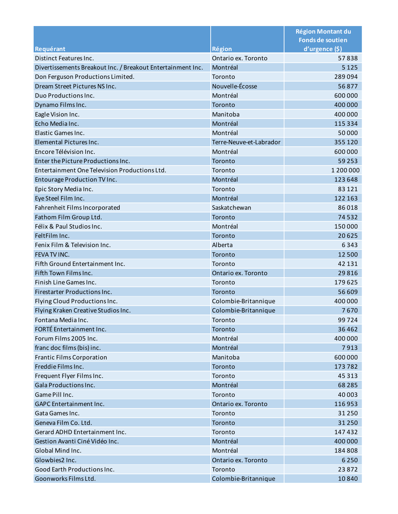|                                                             |                         | <b>Région Montant du</b>                  |
|-------------------------------------------------------------|-------------------------|-------------------------------------------|
| Requérant                                                   | <b>Région</b>           | <b>Fonds de soutien</b><br>d'urgence (\$) |
| Distinct Features Inc.                                      | Ontario ex. Toronto     | 57838                                     |
| Divertissements Breakout Inc. / Breakout Entertainment Inc. | Montréal                | 5 1 2 5                                   |
| Don Ferguson Productions Limited.                           | Toronto                 | 289094                                    |
| Dream Street Pictures NS Inc.                               | Nouvelle-Écosse         | 56877                                     |
| Duo Productions Inc.                                        | Montréal                | 600 000                                   |
| Dynamo Films Inc.                                           | Toronto                 | 400 000                                   |
| Eagle Vision Inc.                                           | Manitoba                | 400 000                                   |
| Echo Media Inc.                                             | Montréal                | 115 334                                   |
| Elastic Games Inc.                                          | Montréal                | 50 000                                    |
| Elemental Pictures Inc.                                     | Terre-Neuve-et-Labrador | 355 120                                   |
| Encore Télévision Inc.                                      | Montréal                | 600 000                                   |
| Enter the Picture Productions Inc.                          | Toronto                 | 59 253                                    |
| Entertainment One Television Productions Ltd.               | Toronto                 | 1 200 000                                 |
| Entourage Production TV Inc.                                | Montréal                | 123 648                                   |
| Epic Story Media Inc.                                       | Toronto                 | 83 1 21                                   |
| Eye Steel Film Inc.                                         | Montréal                | 122 163                                   |
| Fahrenheit Films Incorporated                               | Saskatchewan            | 86018                                     |
| Fathom Film Group Ltd.                                      | Toronto                 | 74532                                     |
| Félix & Paul Studios Inc.                                   | Montréal                | 150 000                                   |
| FeltFilm Inc.                                               | Toronto                 | 20625                                     |
| Fenix Film & Television Inc.                                | Alberta                 | 6343                                      |
| FEVA TV INC.                                                | Toronto                 | 12 500                                    |
| Fifth Ground Entertainment Inc.                             | Toronto                 | 42 131                                    |
| Fifth Town Films Inc.                                       | Ontario ex. Toronto     | 29816                                     |
| Finish Line Games Inc.                                      | Toronto                 | 179625                                    |
| Firestarter Productions Inc.                                | Toronto                 | 56 609                                    |
| Flying Cloud Productions Inc.                               | Colombie-Britannique    | 400 000                                   |
| Flying Kraken Creative Studios Inc.                         | Colombie-Britannique    | 7670                                      |
| Fontana Media Inc.                                          | Toronto                 | 99724                                     |
| FORTÉ Entertainment Inc.                                    | Toronto                 | 36 4 62                                   |
| Forum Films 2005 Inc.                                       | Montréal                | 400 000                                   |
| franc doc films (bis) inc.                                  | Montréal                | 7913                                      |
| <b>Frantic Films Corporation</b>                            | Manitoba                | 600 000                                   |
| Freddie Films Inc.                                          | Toronto                 | 173782                                    |
| Frequent Flyer Films Inc.                                   | Toronto                 | 45 3 13                                   |
| Gala Productions Inc.                                       | Montréal                | 68 2 8 5                                  |
| Game Pill Inc.                                              | Toronto                 | 40 003                                    |
| <b>GAPC</b> Entertainment Inc.                              | Ontario ex. Toronto     | 116953                                    |
| Gata Games Inc.                                             | Toronto                 | 31250                                     |
| Geneva Film Co. Ltd.                                        | Toronto                 | 31 2 50                                   |
| Gerard ADHD Entertainment Inc.                              | Toronto                 | 147432                                    |
| Gestion Avanti Ciné Vidéo Inc.                              | Montréal                | 400 000                                   |
| Global Mind Inc.                                            | Montréal                | 184 808                                   |
| Glowbies2 Inc.                                              | Ontario ex. Toronto     | 6 2 5 0                                   |
| Good Earth Productions Inc.                                 | Toronto                 | 23872                                     |
| Goonworks Films Ltd.                                        | Colombie-Britannique    | 10840                                     |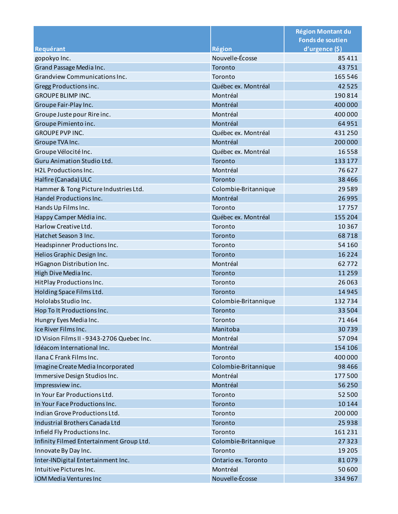|                                            |                      | <b>Région Montant du</b> |
|--------------------------------------------|----------------------|--------------------------|
|                                            |                      | <b>Fonds de soutien</b>  |
| Requérant                                  | <b>Région</b>        | d'urgence (\$)           |
| gopokyo Inc.                               | Nouvelle-Écosse      | 85 411                   |
| Grand Passage Media Inc.                   | Toronto              | 43751                    |
| Grandview Communications Inc.              | Toronto              | 165 546                  |
| Gregg Productions inc.                     | Québec ex. Montréal  | 42525                    |
| <b>GROUPE BLIMP INC.</b>                   | Montréal             | 190814                   |
| Groupe Fair-Play Inc.                      | Montréal             | 400 000                  |
| Groupe Juste pour Rire inc.                | Montréal             | 400 000                  |
| Groupe Pimiento inc.                       | Montréal             | 64 951                   |
| <b>GROUPE PVP INC.</b>                     | Québec ex. Montréal  | 431250                   |
| Groupe TVA Inc.                            | Montréal             | 200 000                  |
| Groupe Vélocité Inc.                       | Québec ex. Montréal  | 16558                    |
| Guru Animation Studio Ltd.                 | Toronto              | 133 177                  |
| <b>H2L Productions Inc.</b>                | Montréal             | 76627                    |
| Halfire (Canada) ULC                       | Toronto              | 38 4 6 6                 |
| Hammer & Tong Picture Industries Ltd.      | Colombie-Britannique | 29589                    |
| Handel Productions Inc.                    | Montréal             | 26 9 95                  |
| Hands Up Films Inc.                        | Toronto              | 17757                    |
| Happy Camper Média inc.                    | Québec ex. Montréal  | 155 204                  |
| Harlow Creative Ltd.                       | Toronto              | 10 3 6 7                 |
| Hatchet Season 3 Inc.                      | Toronto              | 68718                    |
| Headspinner Productions Inc.               | Toronto              | 54 160                   |
| Helios Graphic Design Inc.                 | Toronto              | 16 2 2 4                 |
| HGagnon Distribution Inc.                  | Montréal             | 62772                    |
| High Dive Media Inc.                       | Toronto              | 11 2 5 9                 |
| HitPlay Productions Inc.                   | Toronto              | 26 063                   |
| Holding Space Films Ltd.                   | Toronto              | 14 9 45                  |
| Hololabs Studio Inc.                       | Colombie-Britannique | 132734                   |
| Hop To It Productions Inc.                 | Toronto              | 33 504                   |
| Hungry Eyes Media Inc.                     | Toronto              | 71 464                   |
| Ice River Films Inc.                       | Manitoba             | 30739                    |
| ID Vision Films II - 9343-2706 Quebec Inc. | Montréal             | 57094                    |
| Idéacom International Inc.                 | Montréal             | 154 106                  |
| Ilana C Frank Films Inc.                   | Toronto              | 400 000                  |
| Imagine Create Media Incorporated          | Colombie-Britannique | 98 4 6 6                 |
| Immersive Design Studios Inc.              | Montréal             | 177500                   |
| Impressview inc.                           | Montréal             | 56 250                   |
| In Your Ear Productions Ltd.               | Toronto              | 52 500                   |
| In Your Face Productions Inc.              | Toronto              | 10 144                   |
| Indian Grove Productions Ltd.              | Toronto              | 200 000                  |
| Industrial Brothers Canada Ltd             | Toronto              | 25938                    |
| Infield Fly Productions Inc.               | Toronto              | 161 231                  |
| Infinity Filmed Entertainment Group Ltd.   | Colombie-Britannique | 27323                    |
| Innovate By Day Inc.                       | Toronto              | 19 205                   |
| Inter-INDigital Entertainment Inc.         | Ontario ex. Toronto  | 81079                    |
| Intuitive Pictures Inc.                    | Montréal             | 50 600                   |
| IOM Media Ventures Inc                     | Nouvelle-Écosse      | 334 967                  |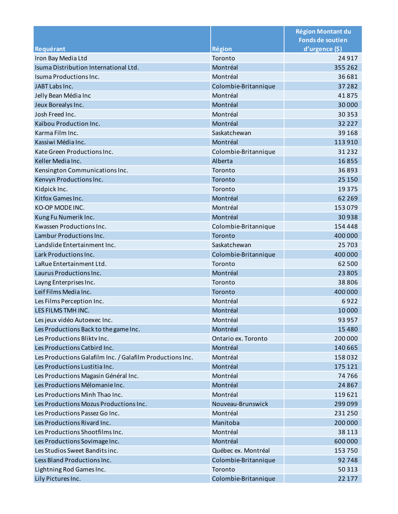|                                                           |                      | <b>Région Montant du</b> |
|-----------------------------------------------------------|----------------------|--------------------------|
|                                                           |                      | <b>Fonds de soutien</b>  |
| Requérant                                                 | <b>Région</b>        | d'urgence (\$)           |
| Iron Bay Media Ltd                                        | Toronto              | 24917                    |
| Isuma Distribution International Ltd.                     | Montréal             | 355 262                  |
| Isuma Productions Inc.                                    | Montréal             | 36 681                   |
| JABT Labs Inc.                                            | Colombie-Britannique | 37 28 2                  |
| Jelly Bean Média Inc                                      | Montréal             | 41875                    |
| Jeux Borealys Inc.                                        | Montréal             | 30 000                   |
| Josh Freed Inc.                                           | Montréal             | 30 35 3                  |
| Kaïbou Production Inc.                                    | Montréal             | 32 2 2 7                 |
| Karma Film Inc.                                           | Saskatchewan         | 39 1 68                  |
| Kassiwi Média Inc.                                        | Montréal             | 113 910                  |
| Kate Green Productions Inc.                               | Colombie-Britannique | 31 2 32                  |
| Keller Media Inc.                                         | Alberta              | 16855                    |
| Kensington Communications Inc.                            | Toronto              | 36893                    |
| Kenvyn Productions Inc.                                   | Toronto              | 25 150                   |
| Kidpick Inc.                                              | Toronto              | 19 3 7 5                 |
| Kitfox Games Inc.                                         | Montréal             | 62 2 69                  |
| KO-OP MODE INC.                                           | Montréal             | 153079                   |
| Kung Fu Numerik Inc.                                      | Montréal             | 30938                    |
| Kwassen Productions Inc.                                  | Colombie-Britannique | 154 448                  |
| Lambur Productions Inc.                                   | Toronto              | 400 000                  |
| Landslide Entertainment Inc.                              | Saskatchewan         | 25703                    |
| Lark Productions Inc.                                     | Colombie-Britannique | 400 000                  |
| LaRue Entertainment Ltd.                                  | Toronto              | 62 500                   |
| Laurus Productions Inc.                                   | Montréal             | 23805                    |
| Layng Enterprises Inc.                                    | Toronto              | 38806                    |
| Leif Films Media Inc.                                     | Toronto              | 400 000                  |
| Les Films Perception Inc.                                 | Montréal             | 6922                     |
| LES FILMS TMH INC.                                        | Montréal             | 10000                    |
| Les jeux vidéo Autoexec Inc.                              | Montréal             | 93 957                   |
| Les Productions Back to the game Inc.                     | Montréal             | 15 4 8 0                 |
| Les Productions Blikty Inc.                               | Ontario ex. Toronto  | 200 000                  |
| Les Productions Catbird Inc.                              | Montréal             | 140 665                  |
| Les Productions Galafilm Inc. / Galafilm Productions Inc. | Montréal             | 158032                   |
| Les Productions Lustitia Inc.                             | Montréal             | 175 121                  |
| Les Productions Magasin Général Inc.                      | Montréal             | 74766                    |
| Les Productions Mélomanie Inc.                            | Montréal             | 24 8 6 7                 |
| Les Productions Minh Thao Inc.                            | Montréal             | 119621                   |
| Les Productions Mozus Productions Inc.                    | Nouveau-Brunswick    | 299 099                  |
| Les Productions Passez Go Inc.                            | Montréal             | 231 250                  |
| Les Productions Rivard Inc.                               | Manitoba             | 200 000                  |
| Les Productions Shootfilms Inc.                           | Montréal             |                          |
|                                                           | Montréal             | 38 1 13                  |
| Les Productions Sovimage Inc.                             |                      | 600 000                  |
| Les Studios Sweet Bandits inc.                            | Québec ex. Montréal  | 153750                   |
| Less Bland Productions Inc.                               | Colombie-Britannique | 92748                    |
| Lightning Rod Games Inc.                                  | Toronto              | 50313                    |
| Lily Pictures Inc.                                        | Colombie-Britannique | 22 177                   |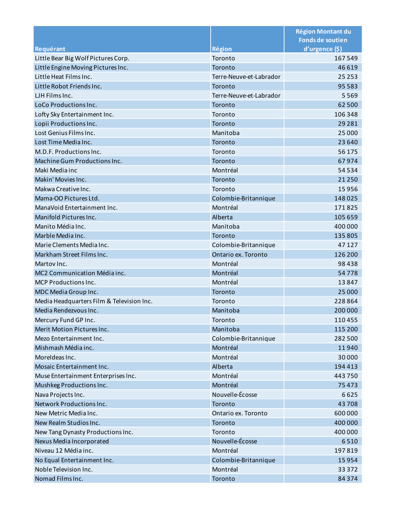|                                           |                          | <b>Région Montant du</b> |
|-------------------------------------------|--------------------------|--------------------------|
|                                           |                          | <b>Fonds de soutien</b>  |
| Requérant                                 | <b>Région</b><br>Toronto | d'urgence (\$)<br>167549 |
| Little Bear Big Wolf Pictures Corp.       |                          |                          |
| Little Engine Moving Pictures Inc.        | Toronto                  | 46 619                   |
| Little Heat Films Inc.                    | Terre-Neuve-et-Labrador  | 25 2 5 3                 |
| Little Robot Friends Inc.                 | Toronto                  | 95 5 83                  |
| LJH Films Inc.                            | Terre-Neuve-et-Labrador  | 5569                     |
| LoCo Productions Inc.                     | Toronto                  | 62 500                   |
| Lofty Sky Entertainment Inc.              | Toronto                  | 106 348                  |
| Lopii Productions Inc.                    | Toronto                  | 29 2 8 1                 |
| Lost Genius Films Inc.                    | Manitoba                 | 25 000                   |
| Lost Time Media Inc.                      | Toronto                  | 23 640                   |
| M.D.F. Productions Inc.                   | Toronto                  | 56 175                   |
| Machine Gum Productions Inc.              | Toronto                  | 67974                    |
| Maki Media inc                            | Montréal                 | 54 5 34                  |
| Makin' Movies Inc.                        | Toronto                  | 21 2 50                  |
| Makwa Creative Inc.                       | Toronto                  | 15956                    |
| Mama-OO Pictures Ltd.                     | Colombie-Britannique     | 148025                   |
| ManaVoid Entertainment Inc.               | Montréal                 | 171825                   |
| Manifold Pictures Inc.                    | Alberta                  | 105 659                  |
| Manito Média Inc.                         | Manitoba                 | 400 000                  |
| Marble Media Inc.                         | Toronto                  | 135 805                  |
| Marie Clements Media Inc.                 | Colombie-Britannique     | 47 127                   |
| Markham Street Films Inc.                 | Ontario ex. Toronto      | 126 200                  |
| Martov Inc.                               | Montréal                 | 98438                    |
| MC2 Communication Média inc.              | Montréal                 | 54778                    |
| <b>MCP Productions Inc.</b>               | Montréal                 | 13847                    |
| MDC Media Group Inc.                      | Toronto                  | 25 000                   |
| Media Headquarters Film & Television Inc. | Toronto                  | 228 864                  |
| Media Rendezvous Inc.                     | Manitoba                 | 200 000                  |
| Mercury Fund GP Inc.                      | Toronto                  | 110455                   |
| Merit Motion Pictures Inc.                | Manitoba                 | 115 200                  |
| Mezo Entertainment Inc.                   | Colombie-Britannique     | 282 500                  |
| Mishmash Média inc.                       | Montréal                 | 11940                    |
| MoreIdeas Inc.                            | Montréal                 | 30 000                   |
| Mosaic Entertainment Inc.                 | Alberta                  | 194 413                  |
| Muse Entertainment Enterprises Inc.       | Montréal                 | 443750                   |
| Mushkeg Productions Inc.                  | Montréal                 | 75 473                   |
| Nava Projects Inc.                        | Nouvelle-Écosse          | 6625                     |
| Network Productions Inc.                  | Toronto                  | 43708                    |
| New Metric Media Inc.                     | Ontario ex. Toronto      | 600 000                  |
| New Realm Studios Inc.                    | Toronto                  | 400 000                  |
| New Tang Dynasty Productions Inc.         | Toronto                  | 400 000                  |
| Nexus Media Incorporated                  | Nouvelle-Écosse          | 6510                     |
| Niveau 12 Média inc.                      | Montréal                 | 197819                   |
| No Equal Entertainment Inc.               | Colombie-Britannique     | 15954                    |
| Noble Television Inc.                     | Montréal                 | 33 3 7 2                 |
| Nomad Films Inc.                          | Toronto                  | 84 3 7 4                 |
|                                           |                          |                          |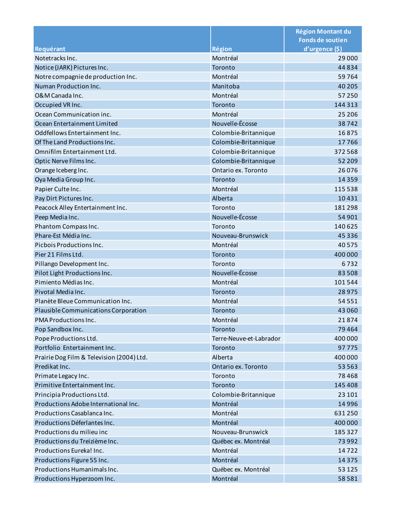|                                           |                         | <b>Région Montant du</b><br><b>Fonds de soutien</b> |
|-------------------------------------------|-------------------------|-----------------------------------------------------|
| Requérant                                 | <b>Région</b>           | d'urgence (\$)                                      |
| Notetracks Inc.                           | Montréal                | 29 000                                              |
| Notice (JARK) Pictures Inc.               | Toronto                 | 44834                                               |
| Notre compagnie de production Inc.        | Montréal                | 59764                                               |
| Numan Production Inc.                     | Manitoba                | 40 205                                              |
| O&M Canada Inc.                           | Montréal                | 57 250                                              |
| Occupied VR Inc.                          | Toronto                 | 144 313                                             |
| Ocean Communication inc.                  | Montréal                | 25 206                                              |
| Ocean Entertainment Limited               | Nouvelle-Écosse         | 38742                                               |
| Oddfellows Entertainment Inc.             | Colombie-Britannique    | 16875                                               |
| Of The Land Productions Inc.              | Colombie-Britannique    | 17766                                               |
| Omnifilm Entertainment Ltd.               | Colombie-Britannique    | 372 568                                             |
| Optic Nerve Films Inc.                    | Colombie-Britannique    | 52 209                                              |
| Orange Iceberg Inc.                       | Ontario ex. Toronto     | 26076                                               |
| Oya Media Group Inc.                      | Toronto                 | 14 3 5 9                                            |
| Papier Culte Inc.                         | Montréal                | 115 538                                             |
| Pay Dirt Pictures Inc.                    | Alberta                 | 10431                                               |
| Peacock Alley Entertainment Inc.          | Toronto                 | 181298                                              |
| Peep Media Inc.                           | Nouvelle-Écosse         | 54 901                                              |
| Phantom Compass Inc.                      | Toronto                 | 140 625                                             |
| Phare-Est Média Inc.                      | Nouveau-Brunswick       | 45 3 3 6                                            |
| Picbois Productions Inc.                  | Montréal                | 40 5 7 5                                            |
| Pier 21 Films Ltd.                        | Toronto                 | 400 000                                             |
| Pillango Development Inc.                 | Toronto                 | 6732                                                |
| Pilot Light Productions Inc.              | Nouvelle-Écosse         | 83508                                               |
| Pimiento Médias Inc.                      | Montréal                | 101544                                              |
| Pivotal Media Inc.                        | Toronto                 | 28975                                               |
| Planète Bleue Communication Inc.          | Montréal                | 54 5 5 1                                            |
| Plausible Communications Corporation      | Toronto                 | 43 060                                              |
| PMA Productions Inc.                      | Montréal                | 21874                                               |
| Pop Sandbox Inc.                          | Toronto                 | 79 4 64                                             |
| Pope Productions Ltd.                     | Terre-Neuve-et-Labrador | 400 000                                             |
| Portfolio Entertainment Inc.              | Toronto                 | 97775                                               |
| Prairie Dog Film & Television (2004) Ltd. | Alberta                 | 400 000                                             |
| Predikat Inc.                             | Ontario ex. Toronto     | 53 563                                              |
| Primate Legacy Inc.                       | Toronto                 | 78468                                               |
| Primitive Entertainment Inc.              | Toronto                 | 145 408                                             |
| Principia Productions Ltd.                | Colombie-Britannique    | 23 101                                              |
| Productions Adobe International Inc.      | Montréal                | 14 9 96                                             |
| Productions Casablanca Inc.               | Montréal                | 631250                                              |
| Productions Déferlantes Inc.              | Montréal                | 400 000                                             |
| Productions du milieu inc                 | Nouveau-Brunswick       | 185 327                                             |
| Productions du Treizième Inc.             | Québec ex. Montréal     | 73 992                                              |
| Productions Eureka! Inc.                  | Montréal                | 14722                                               |
| Productions Figure 55 Inc.                | Montréal                | 14 3 7 5                                            |
| Productions Humanimals Inc.               | Québec ex. Montréal     | 53 1 25                                             |
| Productions Hyperzoom Inc.                | Montréal                | 58581                                               |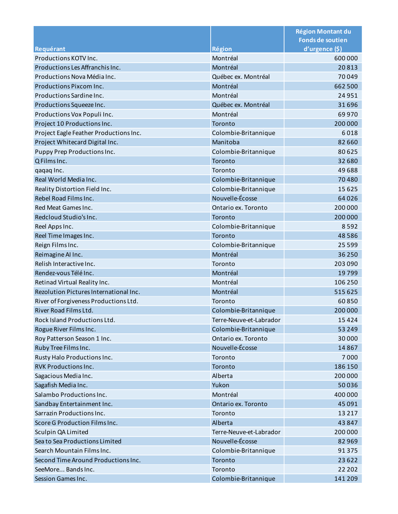|                                                                |                                             | <b>Région Montant du</b><br><b>Fonds de soutien</b> |
|----------------------------------------------------------------|---------------------------------------------|-----------------------------------------------------|
| Requérant                                                      | <b>Région</b>                               | d'urgence (\$)                                      |
| Productions KOTV Inc.                                          | Montréal                                    | 600 000                                             |
| Productions Les Affranchis Inc.                                | Montréal                                    | 20813                                               |
| Productions Nova Média Inc.                                    | Québec ex. Montréal                         | 70049                                               |
| <b>Productions Pixcom Inc.</b>                                 | Montréal                                    | 662 500                                             |
| Productions Sardine Inc.                                       | Montréal                                    | 24 9 51                                             |
|                                                                | Québec ex. Montréal                         | 31696                                               |
| Productions Squeeze Inc.<br>Productions Vox Populi Inc.        | Montréal                                    | 69970                                               |
| Project 10 Productions Inc.                                    | Toronto                                     | 200 000                                             |
|                                                                |                                             | 6018                                                |
| Project Eagle Feather Productions Inc.                         | Colombie-Britannique<br>Manitoba            | 82 660                                              |
| Project Whitecard Digital Inc.                                 |                                             |                                                     |
| Puppy Prep Productions Inc.<br>Q Films Inc.                    | Colombie-Britannique<br>Toronto             | 80625                                               |
|                                                                | Toronto                                     | 32 680<br>49688                                     |
| qaqaq Inc.<br>Real World Media Inc.                            |                                             |                                                     |
|                                                                | Colombie-Britannique                        | 70480<br>15625                                      |
| Reality Distortion Field Inc.                                  | Colombie-Britannique<br>Nouvelle-Écosse     |                                                     |
| Rebel Road Films Inc.                                          |                                             | 64026                                               |
| Red Meat Games Inc.                                            | Ontario ex. Toronto                         | 200 000                                             |
| Redcloud Studio's Inc.                                         | Toronto                                     | 200 000                                             |
| Reel Apps Inc.                                                 | Colombie-Britannique                        | 8592                                                |
| Reel Time Images Inc.                                          | Toronto                                     | 48586                                               |
| Reign Films Inc.                                               | Colombie-Britannique                        | 25 5 9 9                                            |
| Reimagine Al Inc.                                              | Montréal                                    | 36 250                                              |
| Relish Interactive Inc.                                        | Toronto                                     | 203 090                                             |
| Rendez-vous Télé Inc.                                          | Montréal                                    | 19799                                               |
| Retinad Virtual Reality Inc.                                   | Montréal                                    | 106 250                                             |
| Rezolution Pictures International Inc.                         | Montréal                                    | 515 625                                             |
| River of Forgiveness Productions Ltd.<br>River Road Films Ltd. | Toronto                                     | 60850                                               |
| Rock Island Productions Ltd.                                   | Colombie-Britannique                        | 200 000                                             |
|                                                                | Terre-Neuve-et-Labrador                     | 15424                                               |
| Rogue River Films Inc.                                         | Colombie-Britannique<br>Ontario ex. Toronto | 53 249                                              |
| Roy Patterson Season 1 Inc.                                    | Nouvelle-Écosse                             | 30000                                               |
| Ruby Tree Films Inc.                                           | Toronto                                     | 14867<br>7000                                       |
| Rusty Halo Productions Inc.<br><b>RVK Productions Inc.</b>     | Toronto                                     | 186 150                                             |
| Sagacious Media Inc.                                           | Alberta                                     | 200 000                                             |
|                                                                | Yukon                                       | 50036                                               |
| Sagafish Media Inc.<br>Salambo Productions Inc.                |                                             |                                                     |
|                                                                | Montréal                                    | 400 000                                             |
| Sandbay Entertainment Inc.                                     | Ontario ex. Toronto<br>Toronto              | 45 091                                              |
| Sarrazin Productions Inc.<br>Score G Production Films Inc.     | Alberta                                     | 13 2 17                                             |
|                                                                | Terre-Neuve-et-Labrador                     | 43 847                                              |
| Sculpin QA Limited                                             |                                             | 200 000                                             |
| Sea to Sea Productions Limited                                 | Nouvelle-Écosse                             | 82 969                                              |
| Search Mountain Films Inc.                                     | Colombie-Britannique                        | 91375                                               |
| Second Time Around Productions Inc.                            | Toronto                                     | 23 6 22                                             |
| SeeMore Bands Inc.                                             | Toronto                                     | 22 202                                              |
| Session Games Inc.                                             | Colombie-Britannique                        | 141 209                                             |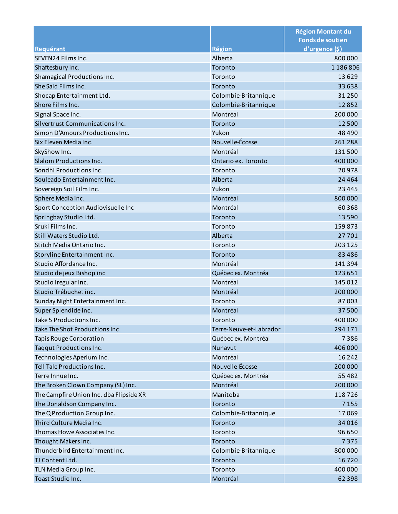|                                         |                         | <b>Région Montant du</b><br><b>Fonds de soutien</b> |
|-----------------------------------------|-------------------------|-----------------------------------------------------|
| Requérant                               | <b>Région</b>           | d'urgence (\$)                                      |
| SEVEN24 Films Inc.                      | Alberta                 | 800000                                              |
| Shaftesbury Inc.                        | Toronto                 | 1 1 8 6 8 0 6                                       |
| Shamagical Productions Inc.             | Toronto                 | 13629                                               |
| She Said Films Inc.                     | Toronto                 | 33 638                                              |
| Shocap Entertainment Ltd.               | Colombie-Britannique    | 31 2 50                                             |
| Shore Films Inc.                        | Colombie-Britannique    | 12852                                               |
| Signal Space Inc.                       | Montréal                | 200 000                                             |
| Silvertrust Communications Inc.         | Toronto                 | 12 500                                              |
| Simon D'Amours Productions Inc.         | Yukon                   | 48 4 9 0                                            |
| Six Eleven Media Inc.                   | Nouvelle-Écosse         | 261288                                              |
| SkyShow Inc.                            | Montréal                | 131500                                              |
| Slalom Productions Inc.                 | Ontario ex. Toronto     | 400 000                                             |
| Sondhi Productions Inc.                 | Toronto                 | 20978                                               |
| Souleado Entertainment Inc.             | Alberta                 | 24 4 64                                             |
| Sovereign Soil Film Inc.                | Yukon                   | 23 4 4 5                                            |
| Sphère Média inc.                       | Montréal                | 800 000                                             |
| Sport Conception Audiovisuelle Inc      | Montréal                | 60 3 68                                             |
| Springbay Studio Ltd.                   | Toronto                 | 13590                                               |
| Sruki Films Inc.                        | Toronto                 | 159873                                              |
| Still Waters Studio Ltd.                | Alberta                 | 27701                                               |
| Stitch Media Ontario Inc.               | Toronto                 | 203 125                                             |
| Storyline Entertainment Inc.            | Toronto                 | 83 4 86                                             |
| Studio Affordance Inc.                  | Montréal                | 141 394                                             |
| Studio de jeux Bishop inc               | Québec ex. Montréal     | 123 651                                             |
| Studio Iregular Inc.                    | Montréal                | 145 012                                             |
| Studio Trébuchet inc.                   | Montréal                | 200 000                                             |
| Sunday Night Entertainment Inc.         | Toronto                 | 87003                                               |
| Super Splendide inc.                    | Montréal                | 37500                                               |
| Take 5 Productions Inc.                 | Toronto                 | 400 000                                             |
| Take The Shot Productions Inc.          | Terre-Neuve-et-Labrador | 294 171                                             |
| <b>Tapis Rouge Corporation</b>          | Québec ex. Montréal     | 7386                                                |
| <b>Taggut Productions Inc.</b>          | Nunavut                 | 406 000                                             |
| Technologies Aperium Inc.               | Montréal                | 16 24 2                                             |
| Tell Tale Productions Inc.              | Nouvelle-Écosse         | 200 000                                             |
| Terre Innue Inc.                        | Québec ex. Montréal     | 55 4 82                                             |
| The Broken Clown Company (SL) Inc.      | Montréal                | 200 000                                             |
| The Campfire Union Inc. dba Flipside XR | Manitoba                | 118726                                              |
| The Donaldson Company Inc.              | Toronto                 | 7 1 5 5                                             |
| The Q Production Group Inc.             | Colombie-Britannique    | 17069                                               |
| Third Culture Media Inc.                | Toronto                 | 34 0 16                                             |
| Thomas Howe Associates Inc.             | Toronto                 | 96 650                                              |
| Thought Makers Inc.                     | Toronto                 | 7375                                                |
| Thunderbird Entertainment Inc.          | Colombie-Britannique    | 800 000                                             |
| TJ Content Ltd.                         | Toronto                 | 16720                                               |
| TLN Media Group Inc.                    | Toronto                 | 400 000                                             |
| Toast Studio Inc.                       | Montréal                | 62 3 98                                             |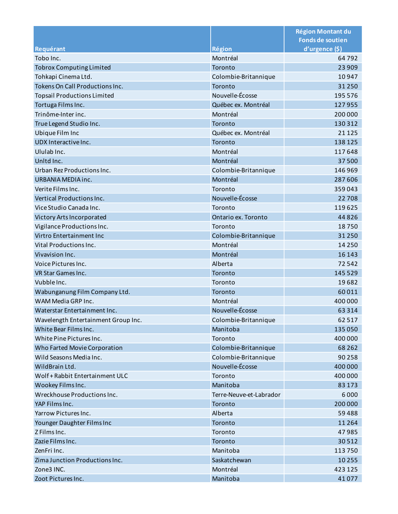|                                     |                         | <b>Région Montant du</b><br><b>Fonds de soutien</b> |
|-------------------------------------|-------------------------|-----------------------------------------------------|
| Requérant                           | <b>Région</b>           | d'urgence (\$)                                      |
| Tobo Inc.                           | Montréal                | 64792                                               |
|                                     |                         |                                                     |
| <b>Tobrox Computing Limited</b>     | Toronto                 | 23 909                                              |
| Tohkapi Cinema Ltd.                 | Colombie-Britannique    | 10947                                               |
| Tokens On Call Productions Inc.     | Toronto                 | 31 2 50                                             |
| <b>Topsail Productions Limited</b>  | Nouvelle-Écosse         | 195 576                                             |
| Tortuga Films Inc.                  | Québec ex. Montréal     | 127955                                              |
| Trinôme-Inter inc.                  | Montréal                | 200 000                                             |
| True Legend Studio Inc.             | Toronto                 | 130 312                                             |
| <b>Ubique Film Inc</b>              | Québec ex. Montréal     | 21 1 25                                             |
| UDX Interactive Inc.                | Toronto                 | 138 125                                             |
| Ululab Inc.                         | Montréal                | 117648                                              |
| Unitd Inc.                          | Montréal                | 37500                                               |
| Urban Rez Productions Inc.          | Colombie-Britannique    | 146 969                                             |
| <b>URBANIA MEDIA inc.</b>           | Montréal                | 287 606                                             |
| Verite Films Inc.                   | Toronto                 | 359043                                              |
| Vertical Productions Inc.           | Nouvelle-Écosse         | 22 708                                              |
| Vice Studio Canada Inc.             | Toronto                 | 119625                                              |
| Victory Arts Incorporated           | Ontario ex. Toronto     | 44 8 26                                             |
| Vigilance Productions Inc.          | Toronto                 | 18750                                               |
| Virtro Entertainment Inc            | Colombie-Britannique    | 31 2 50                                             |
| Vital Productions Inc.              | Montréal                | 14 2 5 0                                            |
| Vivavision Inc.                     | Montréal                | 16 14 3                                             |
| Voice Pictures Inc.                 | Alberta                 | 72542                                               |
| VR Star Games Inc.                  | Toronto                 | 145 529                                             |
| Vubble Inc.                         | Toronto                 | 19682                                               |
| Wabunganung Film Company Ltd.       | Toronto                 | 60011                                               |
| WAM Media GRP Inc.                  | Montréal                | 400 000                                             |
| Waterstar Entertainment Inc.        | Nouvelle-Écosse         | 63 3 1 4                                            |
| Wavelength Entertainment Group Inc. | Colombie-Britannique    | 62517                                               |
| White Bear Films Inc.               | Manitoba                | 135 050                                             |
| White Pine Pictures Inc.            | Toronto                 | 400 000                                             |
| Who Farted Movie Corporation        | Colombie-Britannique    | 68 2 62                                             |
| Wild Seasons Media Inc.             | Colombie-Britannique    | 90 258                                              |
| WildBrain Ltd.                      | Nouvelle-Écosse         | 400 000                                             |
| Wolf + Rabbit Entertainment ULC     | Toronto                 | 400 000                                             |
| Wookey Films Inc.                   | Manitoba                | 83 1 73                                             |
| Wreckhouse Productions Inc.         | Terre-Neuve-et-Labrador | 6000                                                |
| YAP Films Inc.                      | Toronto                 | 200 000                                             |
| Yarrow Pictures Inc.                | Alberta                 | 59 4 8 8                                            |
| Younger Daughter Films Inc          | Toronto                 | 11 2 6 4                                            |
| Z Films Inc.                        | Toronto                 | 47985                                               |
| Zazie Films Inc.                    | Toronto                 | 30512                                               |
| ZenFri Inc.                         | Manitoba                | 113750                                              |
| Zima Junction Productions Inc.      | Saskatchewan            | 10 255                                              |
| Zone3 INC.                          | Montréal                | 423 125                                             |
| Zoot Pictures Inc.                  | Manitoba                | 41077                                               |